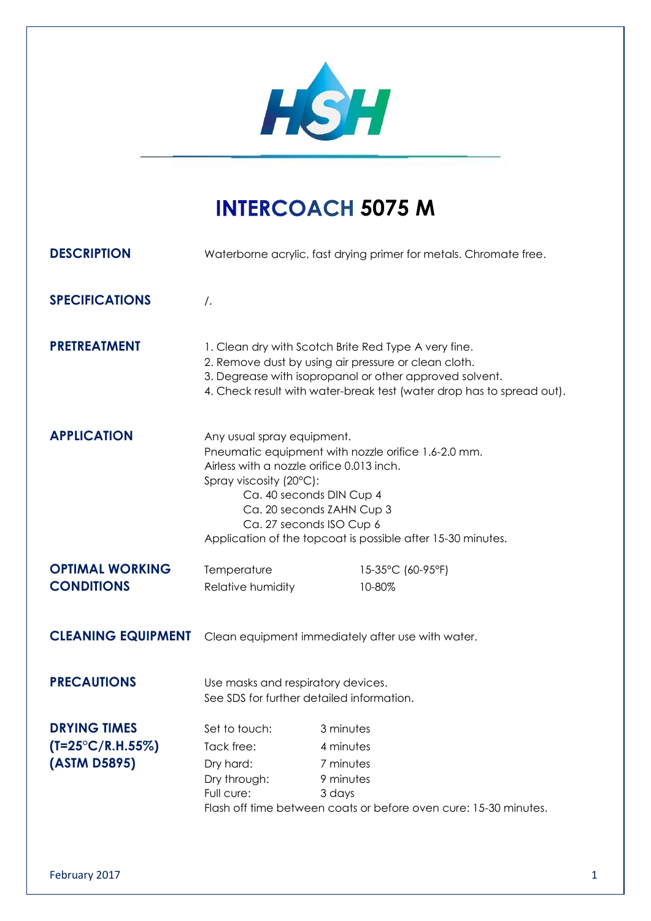

## **INTERCOACH 5075 M**

| <b>DESCRIPTION</b>         | Waterborne acrylic, fast drying primer for metals. Chromate free.                                                                                                                                                                                                                                             |                                                                                                                                                                                                                                                  |  |
|----------------------------|---------------------------------------------------------------------------------------------------------------------------------------------------------------------------------------------------------------------------------------------------------------------------------------------------------------|--------------------------------------------------------------------------------------------------------------------------------------------------------------------------------------------------------------------------------------------------|--|
| <b>SPECIFICATIONS</b>      | $\sqrt{ }$ .                                                                                                                                                                                                                                                                                                  |                                                                                                                                                                                                                                                  |  |
| <b>PRETREATMENT</b>        |                                                                                                                                                                                                                                                                                                               | 1. Clean dry with Scotch Brite Red Type A very fine.<br>2. Remove dust by using air pressure or clean cloth.<br>3. Degrease with isopropanol or other approved solvent.<br>4. Check result with water-break test (water drop has to spread out). |  |
| <b>APPLICATION</b>         | Any usual spray equipment.<br>Pneumatic equipment with nozzle orifice 1.6-2.0 mm.<br>Airless with a nozzle orifice 0.013 inch.<br>Spray viscosity (20°C):<br>Ca. 40 seconds DIN Cup 4<br>Ca. 20 seconds ZAHN Cup 3<br>Ca. 27 seconds ISO Cup 6<br>Application of the topcoat is possible after 15-30 minutes. |                                                                                                                                                                                                                                                  |  |
| <b>OPTIMAL WORKING</b>     | Temperature                                                                                                                                                                                                                                                                                                   | 15-35°C (60-95°F)                                                                                                                                                                                                                                |  |
| <b>CONDITIONS</b>          | Relative humidity                                                                                                                                                                                                                                                                                             | 10-80%                                                                                                                                                                                                                                           |  |
| <b>CLEANING EQUIPMENT</b>  | Clean equipment immediately after use with water.                                                                                                                                                                                                                                                             |                                                                                                                                                                                                                                                  |  |
| <b>PRECAUTIONS</b>         | Use masks and respiratory devices.<br>See SDS for further detailed information.                                                                                                                                                                                                                               |                                                                                                                                                                                                                                                  |  |
| <b>DRYING TIMES</b>        | Set to touch:                                                                                                                                                                                                                                                                                                 | 3 minutes                                                                                                                                                                                                                                        |  |
| $(T=25^{\circ}C/R.H.55\%)$ | Tack free:                                                                                                                                                                                                                                                                                                    | 4 minutes                                                                                                                                                                                                                                        |  |
| (ASTM D5895)               | Dry hard:                                                                                                                                                                                                                                                                                                     | 7 minutes                                                                                                                                                                                                                                        |  |
|                            | Dry through:                                                                                                                                                                                                                                                                                                  | 9 minutes                                                                                                                                                                                                                                        |  |
|                            | Full cure:                                                                                                                                                                                                                                                                                                    | 3 days                                                                                                                                                                                                                                           |  |
|                            | Flash off time between coats or before oven cure: 15-30 minutes.                                                                                                                                                                                                                                              |                                                                                                                                                                                                                                                  |  |